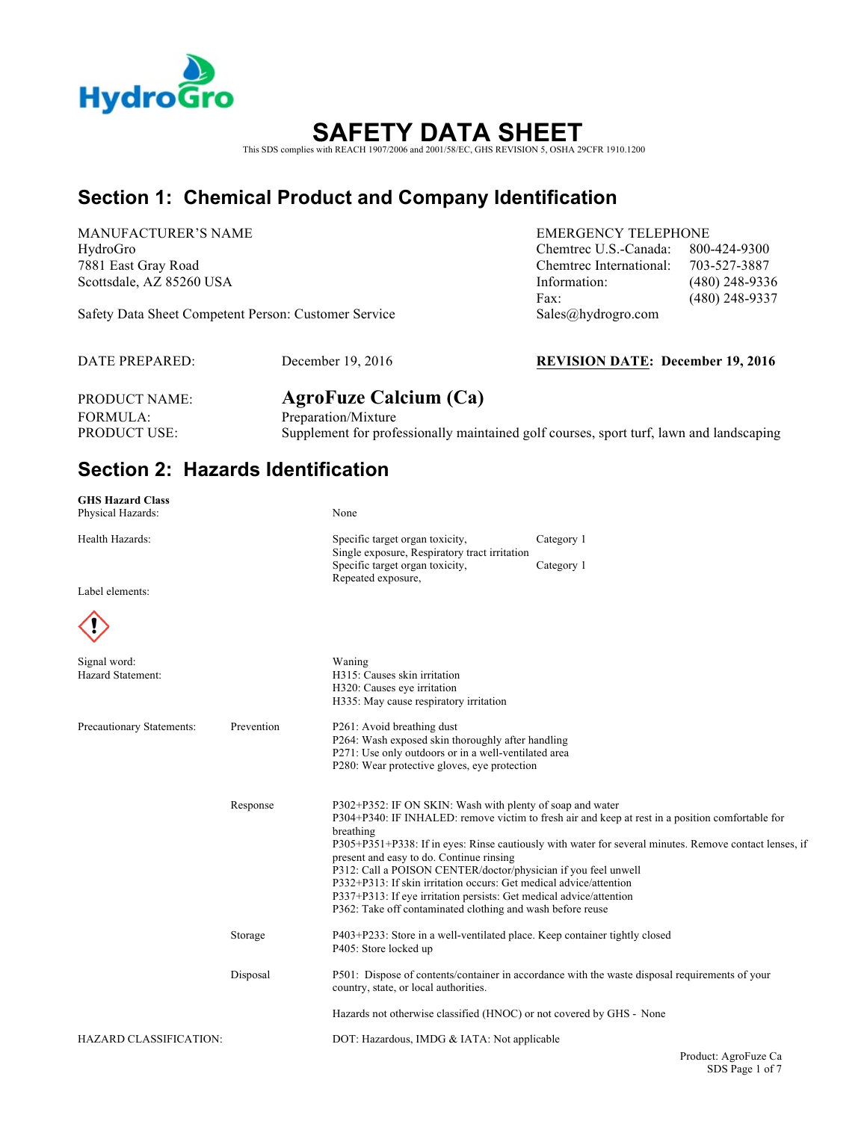

# **SAFETY DATA SHEET**

This SDS complies with REACH 1907/2006 and 2001/58/EC, GHS REVISION 5, OSHA 29CFR 1910.1200

### **Section 1: Chemical Product and Company Identification**

MANUFACTURER'S NAME EMERGENCY TELEPHONE

Safety Data Sheet Competent Person: Customer Service Sales@hydrogro.com

HydroGro Chemtrec U.S.-Canada: 800-424-9300 7881 East Gray Road Chemtrec International: 703-527-3887 Scottsdale, AZ 85260 USA Information: (480) 248-9336 Fax: (480) 248-9337

DATE PREPARED: December 19, 2016 **REVISION DATE: December 19, 2016**

FORMULA: Preparation/Mixture

PRODUCT NAME: **AgroFuze Calcium (Ca)** PRODUCT USE: Supplement for professionally maintained golf courses, sport turf, lawn and landscaping

### **Section 2: Hazards Identification**

| <b>GHS Hazard Class</b><br>Physical Hazards: |            | None                                                                                                                                                                                                                                                                                                                                                                                                                                                                                                                                                                                                          |            |                      |
|----------------------------------------------|------------|---------------------------------------------------------------------------------------------------------------------------------------------------------------------------------------------------------------------------------------------------------------------------------------------------------------------------------------------------------------------------------------------------------------------------------------------------------------------------------------------------------------------------------------------------------------------------------------------------------------|------------|----------------------|
| Health Hazards:                              |            | Specific target organ toxicity,<br>Single exposure, Respiratory tract irritation                                                                                                                                                                                                                                                                                                                                                                                                                                                                                                                              | Category 1 |                      |
| Label elements:                              |            | Specific target organ toxicity,<br>Repeated exposure,                                                                                                                                                                                                                                                                                                                                                                                                                                                                                                                                                         | Category 1 |                      |
|                                              |            |                                                                                                                                                                                                                                                                                                                                                                                                                                                                                                                                                                                                               |            |                      |
| Signal word:<br>Hazard Statement:            |            | Waning<br>H315: Causes skin irritation<br>H320: Causes eye irritation<br>H335: May cause respiratory irritation                                                                                                                                                                                                                                                                                                                                                                                                                                                                                               |            |                      |
| Precautionary Statements:                    | Prevention | P261: Avoid breathing dust<br>P264: Wash exposed skin thoroughly after handling<br>P271: Use only outdoors or in a well-ventilated area<br>P280: Wear protective gloves, eye protection                                                                                                                                                                                                                                                                                                                                                                                                                       |            |                      |
|                                              | Response   | P302+P352: IF ON SKIN: Wash with plenty of soap and water<br>P304+P340: IF INHALED: remove victim to fresh air and keep at rest in a position comfortable for<br>breathing<br>P305+P351+P338: If in eyes: Rinse cautiously with water for several minutes. Remove contact lenses, if<br>present and easy to do. Continue rinsing<br>P312: Call a POISON CENTER/doctor/physician if you feel unwell<br>P332+P313: If skin irritation occurs: Get medical advice/attention<br>P337+P313: If eye irritation persists: Get medical advice/attention<br>P362: Take off contaminated clothing and wash before reuse |            |                      |
|                                              | Storage    | P403+P233: Store in a well-ventilated place. Keep container tightly closed<br>P405: Store locked up                                                                                                                                                                                                                                                                                                                                                                                                                                                                                                           |            |                      |
|                                              | Disposal   | P501: Dispose of contents/container in accordance with the waste disposal requirements of your<br>country, state, or local authorities.                                                                                                                                                                                                                                                                                                                                                                                                                                                                       |            |                      |
|                                              |            | Hazards not otherwise classified (HNOC) or not covered by GHS - None                                                                                                                                                                                                                                                                                                                                                                                                                                                                                                                                          |            |                      |
| <b>HAZARD CLASSIFICATION:</b>                |            | DOT: Hazardous, IMDG & IATA: Not applicable                                                                                                                                                                                                                                                                                                                                                                                                                                                                                                                                                                   |            |                      |
|                                              |            |                                                                                                                                                                                                                                                                                                                                                                                                                                                                                                                                                                                                               |            | Product: AgroFuze Ca |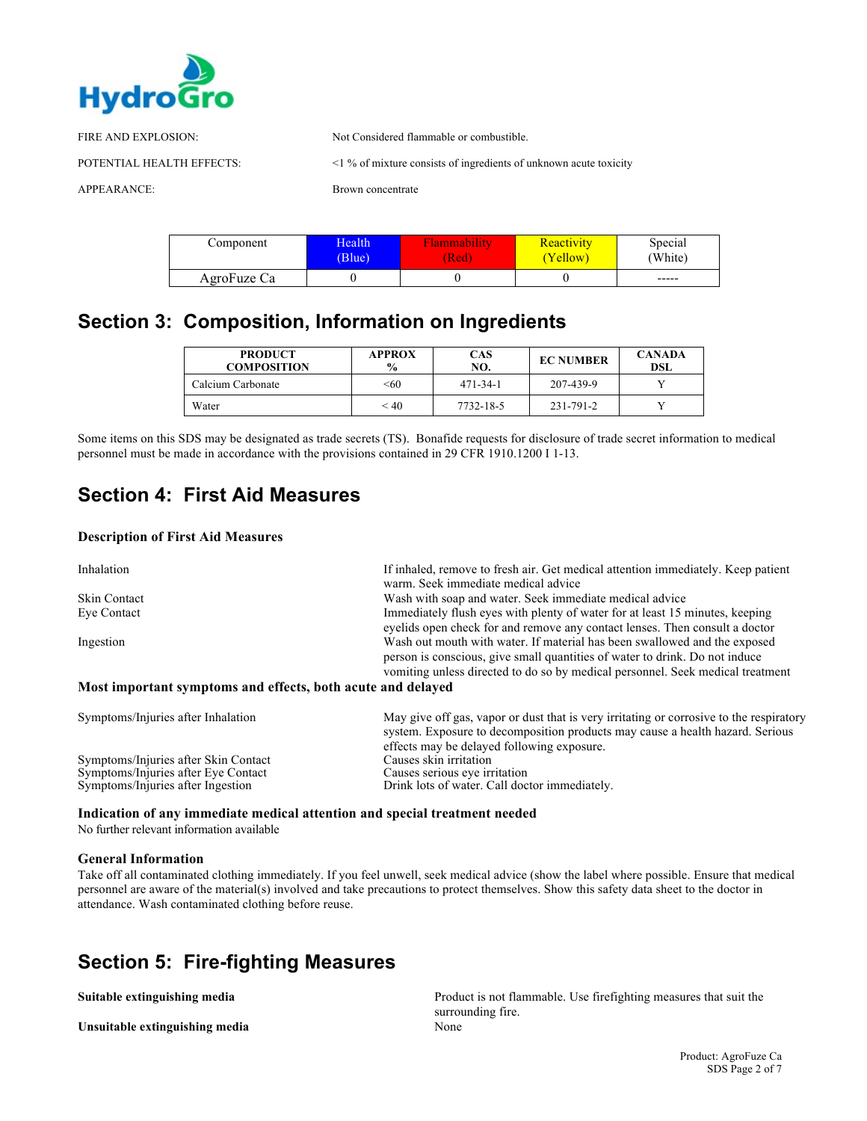

| FIRE AND EXPLOSION:       | Not Considered flammable or combustible.                                |
|---------------------------|-------------------------------------------------------------------------|
| POTENTIAL HEALTH EFFECTS: | $\leq$ 1 % of mixture consists of ingredients of unknown acute toxicity |
| APPEARANCE:               | Brown concentrate                                                       |

| Component   | Health | ∙lammabılıtv | <b>Reactivity</b> | Special |
|-------------|--------|--------------|-------------------|---------|
|             | (Blue) | (Red         | Yellow)           | (White) |
| AgroFuze Ca |        |              |                   | -----   |

### **Section 3: Composition, Information on Ingredients**

| <b>PRODUCT</b><br><b>COMPOSITION</b> | <b>APPROX</b><br>$\frac{0}{0}$ | CAS<br>NO. | <b>EC NUMBER</b> | <b>CANADA</b><br>DSL |
|--------------------------------------|--------------------------------|------------|------------------|----------------------|
| Calcium Carbonate                    | < 60                           | 471-34-1   | 207-439-9        |                      |
| Water                                | < 40                           | 7732-18-5  | 231-791-2        |                      |

Some items on this SDS may be designated as trade secrets (TS). Bonafide requests for disclosure of trade secret information to medical personnel must be made in accordance with the provisions contained in 29 CFR 1910.1200 I 1-13.

### **Section 4: First Aid Measures**

### **Description of First Aid Measures**

| Inhalation                                                  | If inhaled, remove to fresh air. Get medical attention immediately. Keep patient<br>warm. Seek immediate medical advice                                                                                                                    |
|-------------------------------------------------------------|--------------------------------------------------------------------------------------------------------------------------------------------------------------------------------------------------------------------------------------------|
| Skin Contact                                                | Wash with soap and water. Seek immediate medical advice                                                                                                                                                                                    |
| Eye Contact                                                 | Immediately flush eyes with plenty of water for at least 15 minutes, keeping<br>eyelids open check for and remove any contact lenses. Then consult a doctor                                                                                |
| Ingestion                                                   | Wash out mouth with water. If material has been swallowed and the exposed<br>person is conscious, give small quantities of water to drink. Do not induce<br>vomiting unless directed to do so by medical personnel. Seek medical treatment |
| Most important symptoms and effects, both acute and delayed |                                                                                                                                                                                                                                            |

| Symptoms/Injuries after Inhalation   | May give off gas, vapor or dust that is very irritating or corrosive to the respiratory<br>system. Exposure to decomposition products may cause a health hazard. Serious<br>effects may be delayed following exposure. |
|--------------------------------------|------------------------------------------------------------------------------------------------------------------------------------------------------------------------------------------------------------------------|
| Symptoms/Injuries after Skin Contact | Causes skin irritation                                                                                                                                                                                                 |
| Symptoms/Injuries after Eye Contact  | Causes serious eye irritation                                                                                                                                                                                          |
| Symptoms/Injuries after Ingestion    | Drink lots of water. Call doctor immediately.                                                                                                                                                                          |

### **Indication of any immediate medical attention and special treatment needed**

No further relevant information available

### **General Information**

Take off all contaminated clothing immediately. If you feel unwell, seek medical advice (show the label where possible. Ensure that medical personnel are aware of the material(s) involved and take precautions to protect themselves. Show this safety data sheet to the doctor in attendance. Wash contaminated clothing before reuse.

### **Section 5: Fire-fighting Measures**

Unsuitable extinguishing media<br>
None

**Suitable extinguishing media** Product is not flammable. Use firefighting measures that suit the surrounding fire.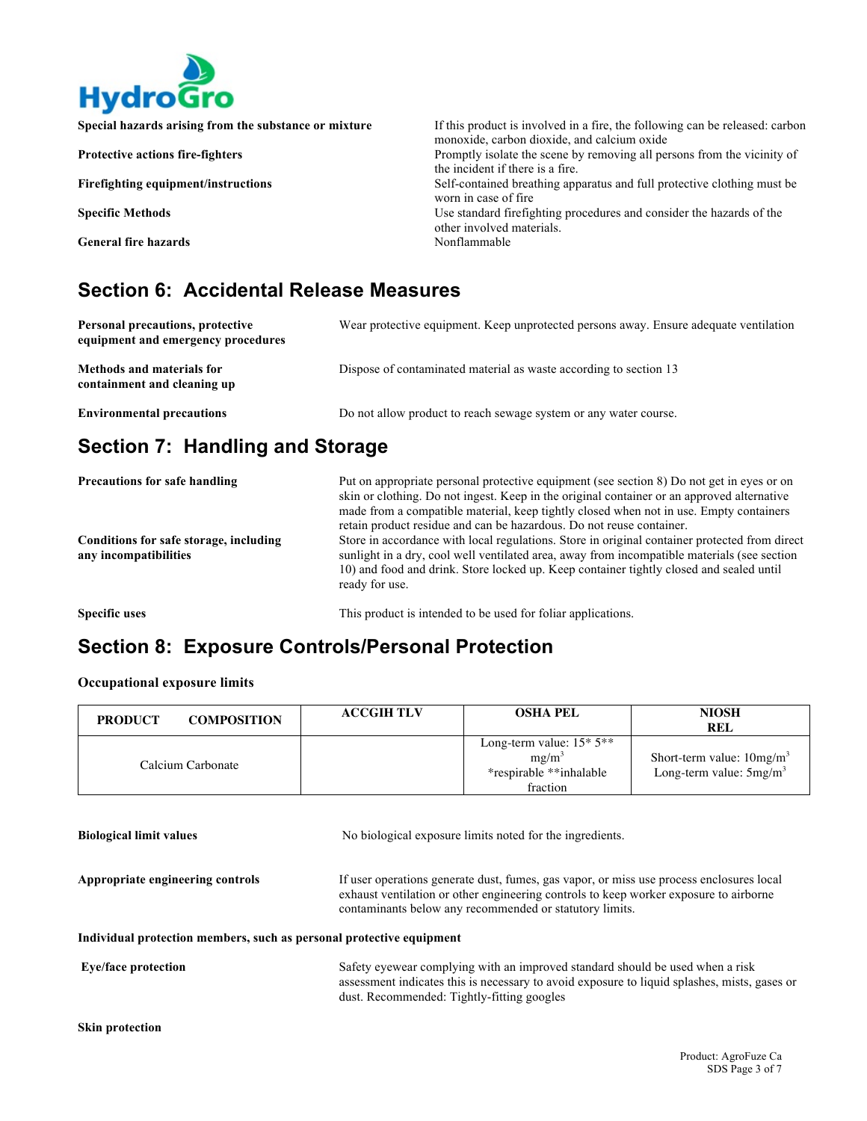

| Special hazards arising from the substance or mixture | If this product is involved in a fire, the following can be released: carbon<br>monoxide, carbon dioxide, and calcium oxide |
|-------------------------------------------------------|-----------------------------------------------------------------------------------------------------------------------------|
| <b>Protective actions fire-fighters</b>               | Promptly isolate the scene by removing all persons from the vicinity of<br>the incident if there is a fire.                 |
| <b>Firefighting equipment/instructions</b>            | Self-contained breathing apparatus and full protective clothing must be<br>worn in case of fire                             |
| <b>Specific Methods</b>                               | Use standard firefighting procedures and consider the hazards of the<br>other involved materials.                           |
| <b>General fire hazards</b>                           | Nonflammable                                                                                                                |

### **Section 6: Accidental Release Measures**

| <b>Personal precautions, protective</b><br>equipment and emergency procedures | Wear protective equipment. Keep unprotected persons away. Ensure adequate ventilation |
|-------------------------------------------------------------------------------|---------------------------------------------------------------------------------------|
| <b>Methods and materials for</b><br>containment and cleaning up               | Dispose of contaminated material as waste according to section 13                     |
| <b>Environmental precautions</b>                                              | Do not allow product to reach sewage system or any water course.                      |

# **Section 7: Handling and Storage**

| <b>Precautions for safe handling</b>                            | Put on appropriate personal protective equipment (see section 8) Do not get in eyes or on<br>skin or clothing. Do not ingest. Keep in the original container or an approved alternative<br>made from a compatible material, keep tightly closed when not in use. Empty containers<br>retain product residue and can be hazardous. Do not reuse container. |
|-----------------------------------------------------------------|-----------------------------------------------------------------------------------------------------------------------------------------------------------------------------------------------------------------------------------------------------------------------------------------------------------------------------------------------------------|
| Conditions for safe storage, including<br>any incompatibilities | Store in accordance with local regulations. Store in original container protected from direct<br>sunlight in a dry, cool well ventilated area, away from incompatible materials (see section<br>10) and food and drink. Store locked up. Keep container tightly closed and sealed until<br>ready for use.                                                 |
|                                                                 |                                                                                                                                                                                                                                                                                                                                                           |

**Specific uses** This product is intended to be used for foliar applications.

### **Section 8: Exposure Controls/Personal Protection**

### **Occupational exposure limits**

| <b>COMPOSITION</b><br><b>PRODUCT</b> | <b>ACCGIH TLV</b> | <b>OSHA PEL</b>                                                              | <b>NIOSH</b><br><b>REL</b>                               |
|--------------------------------------|-------------------|------------------------------------------------------------------------------|----------------------------------------------------------|
| Calcium Carbonate                    |                   | Long-term value: $15*5**$<br>$mg/m^3$<br>*respirable **inhalable<br>fraction | Short-term value: $10mg/m3$<br>Long-term value: $5mg/m3$ |

| <b>Biological limit values</b>                                       | No biological exposure limits noted for the ingredients.                                                                                                                                                                                     |
|----------------------------------------------------------------------|----------------------------------------------------------------------------------------------------------------------------------------------------------------------------------------------------------------------------------------------|
| Appropriate engineering controls                                     | If user operations generate dust, fumes, gas vapor, or miss use process enclosures local<br>exhaust ventilation or other engineering controls to keep worker exposure to airborne<br>contaminants below any recommended or statutory limits. |
| Individual protection members, such as personal protective equipment |                                                                                                                                                                                                                                              |
| <b>Eye/face protection</b>                                           | Safety eyewear complying with an improved standard should be used when a risk<br>assessment indicates this is necessary to avoid exposure to liquid splashes, mists, gases or<br>dust. Recommended: Tightly-fitting googles                  |
| <b>Skin protection</b>                                               |                                                                                                                                                                                                                                              |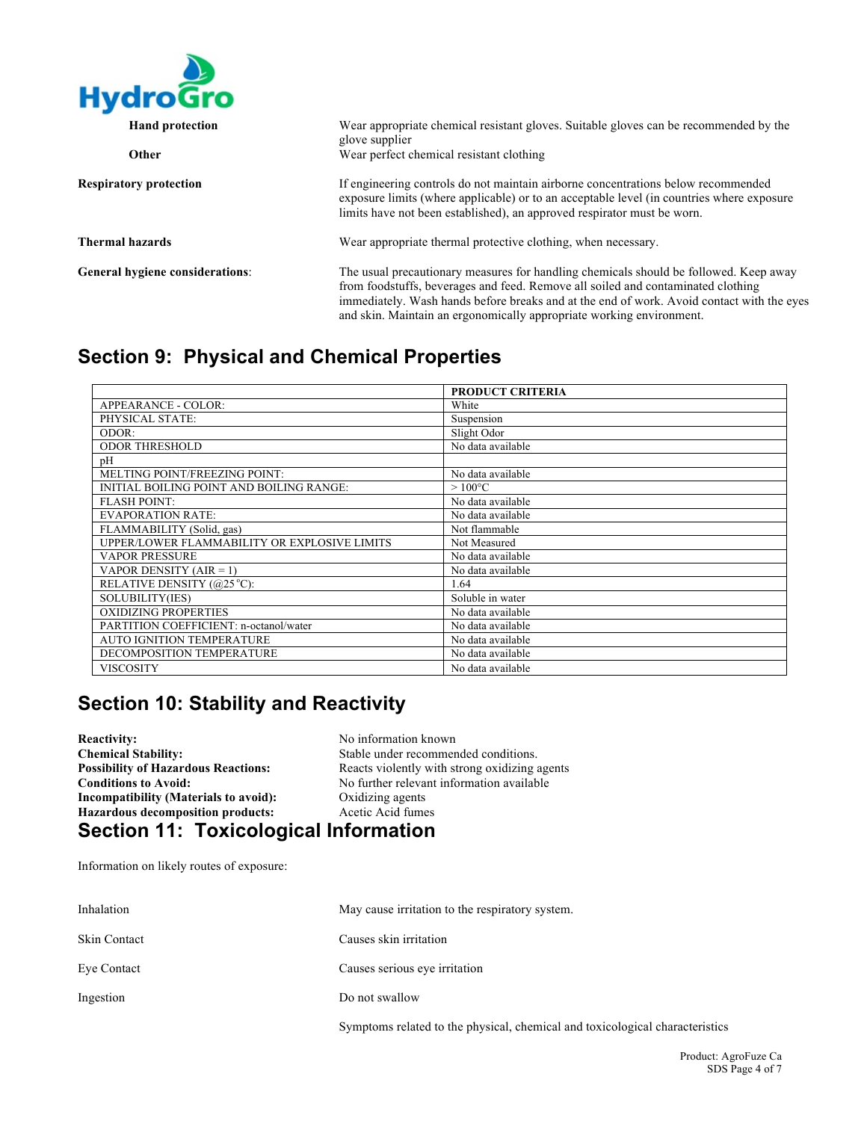

| <b>Hand protection</b>                 | Wear appropriate chemical resistant gloves. Suitable gloves can be recommended by the<br>glove supplier                                                                                                                                                                                                                                        |
|----------------------------------------|------------------------------------------------------------------------------------------------------------------------------------------------------------------------------------------------------------------------------------------------------------------------------------------------------------------------------------------------|
| Other                                  | Wear perfect chemical resistant clothing                                                                                                                                                                                                                                                                                                       |
| <b>Respiratory protection</b>          | If engineering controls do not maintain airborne concentrations below recommended<br>exposure limits (where applicable) or to an acceptable level (in countries where exposure<br>limits have not been established), an approved respirator must be worn.                                                                                      |
| Thermal hazards                        | Wear appropriate thermal protective clothing, when necessary.                                                                                                                                                                                                                                                                                  |
| <b>General hygiene considerations:</b> | The usual precautionary measures for handling chemicals should be followed. Keep away<br>from foodstuffs, beverages and feed. Remove all soiled and contaminated clothing<br>immediately. Wash hands before breaks and at the end of work. Avoid contact with the eyes<br>and skin. Maintain an ergonomically appropriate working environment. |

### **Section 9: Physical and Chemical Properties**

|                                              | <b>PRODUCT CRITERIA</b> |
|----------------------------------------------|-------------------------|
| APPEARANCE - COLOR:                          | White                   |
| PHYSICAL STATE:                              | Suspension              |
| ODOR:                                        | Slight Odor             |
| <b>ODOR THRESHOLD</b>                        | No data available       |
| рH                                           |                         |
| MELTING POINT/FREEZING POINT:                | No data available       |
| INITIAL BOILING POINT AND BOILING RANGE:     | $>100^{\circ}$ C        |
| <b>FLASH POINT:</b>                          | No data available       |
| <b>EVAPORATION RATE:</b>                     | No data available       |
| FLAMMABILITY (Solid, gas)                    | Not flammable           |
| UPPER/LOWER FLAMMABILITY OR EXPLOSIVE LIMITS | Not Measured            |
| <b>VAPOR PRESSURE</b>                        | No data available       |
| VAPOR DENSITY $(AIR = 1)$                    | No data available       |
| RELATIVE DENSITY (@25 °C):                   | 1.64                    |
| SOLUBILITY(IES)                              | Soluble in water        |
| <b>OXIDIZING PROPERTIES</b>                  | No data available       |
| PARTITION COEFFICIENT: n-octanol/water       | No data available       |
| <b>AUTO IGNITION TEMPERATURE</b>             | No data available       |
| DECOMPOSITION TEMPERATURE                    | No data available       |
| VISCOSITY                                    | No data available       |

# **Section 10: Stability and Reactivity**

**Reactivity:** No information known<br> **Chemical Stability:** No Stable under recommer Stable under recommended conditions. **Possibility of Hazardous Reactions:** Reacts violently with strong oxidizing agents **Conditions to Avoid:** No further relevant information available<br>Incompatibility (Materials to avoid): Oxidizing agents **Incompatibility (Materials to avoid):** Oxidizing agents<br> **Hazardous decomposition products:** Acetic Acid fumes **Hazardous decomposition products: Section 11: Toxicological Information** 

Information on likely routes of exposure:

| Inhalation   | May cause irritation to the respiratory system.                              |
|--------------|------------------------------------------------------------------------------|
| Skin Contact | Causes skin irritation                                                       |
| Eve Contact  | Causes serious eye irritation                                                |
| Ingestion    | Do not swallow                                                               |
|              | Symptoms related to the physical, chemical and toxicological characteristics |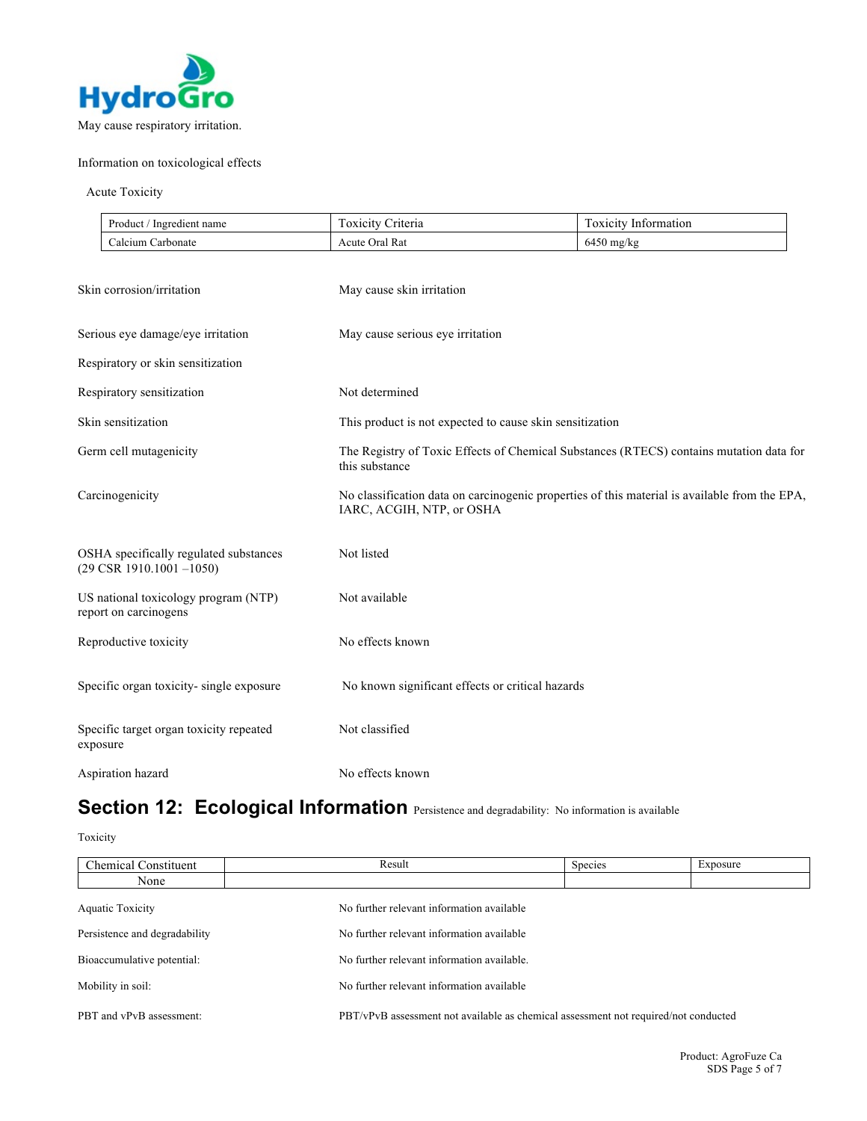

### Information on toxicological effects

### Acute Toxicity

| Product,<br>Ingredient name | riteria<br><b>OXICITY</b> | $\overline{\phantom{a}}$<br>. OXICITV<br>Information |
|-----------------------------|---------------------------|------------------------------------------------------|
| alcium<br>. Carbonate       | <b>Acute Oral Rat</b>     | $6450$ mg/kg                                         |

| Skin corrosion/irritation                                                      | May cause skin irritation                                                                                                  |
|--------------------------------------------------------------------------------|----------------------------------------------------------------------------------------------------------------------------|
| Serious eye damage/eye irritation                                              | May cause serious eye irritation                                                                                           |
| Respiratory or skin sensitization                                              |                                                                                                                            |
| Respiratory sensitization                                                      | Not determined                                                                                                             |
| Skin sensitization                                                             | This product is not expected to cause skin sensitization                                                                   |
| Germ cell mutagenicity                                                         | The Registry of Toxic Effects of Chemical Substances (RTECS) contains mutation data for<br>this substance                  |
| Carcinogenicity                                                                | No classification data on carcinogenic properties of this material is available from the EPA,<br>IARC, ACGIH, NTP, or OSHA |
| OSHA specifically regulated substances<br>$(29 \text{ CSR } 1910.1001 - 1050)$ | Not listed                                                                                                                 |
| US national toxicology program (NTP)<br>report on carcinogens                  | Not available                                                                                                              |
| Reproductive toxicity                                                          | No effects known                                                                                                           |
| Specific organ toxicity-single exposure                                        | No known significant effects or critical hazards                                                                           |
| Specific target organ toxicity repeated<br>exposure                            | Not classified                                                                                                             |
| Aspiration hazard                                                              | No effects known                                                                                                           |

# Section 12: Ecological Information Persistence and degradability: No information is available

Toxicity

| <b>Chemical Constituent</b>   | Result                                                                              | Species | Exposure |
|-------------------------------|-------------------------------------------------------------------------------------|---------|----------|
| None                          |                                                                                     |         |          |
| <b>Aquatic Toxicity</b>       | No further relevant information available                                           |         |          |
| Persistence and degradability | No further relevant information available                                           |         |          |
| Bioaccumulative potential:    | No further relevant information available.                                          |         |          |
| Mobility in soil:             | No further relevant information available                                           |         |          |
| PBT and vPvB assessment:      | PBT/vPvB assessment not available as chemical assessment not required/not conducted |         |          |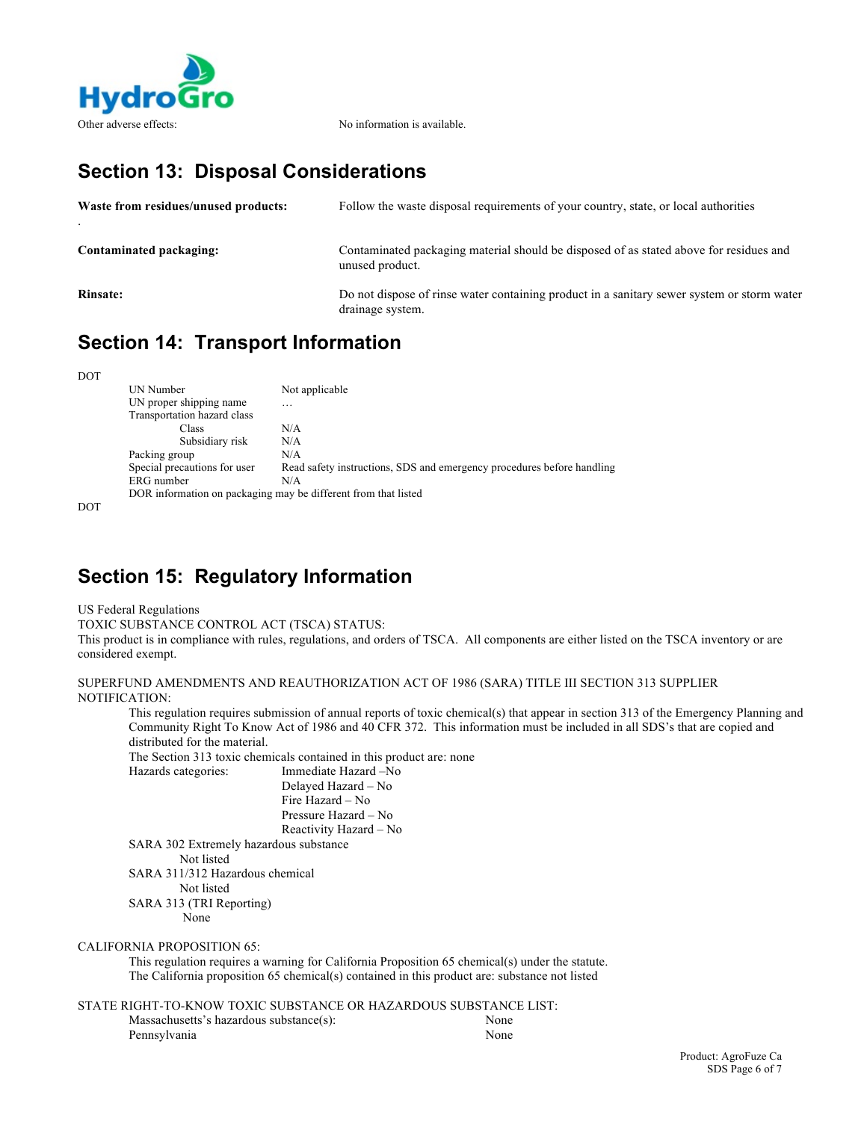

## **Section 13: Disposal Considerations**

| Waste from residues/unused products: | Follow the waste disposal requirements of your country, state, or local authorities                            |
|--------------------------------------|----------------------------------------------------------------------------------------------------------------|
| Contaminated packaging:              | Contaminated packaging material should be disposed of as stated above for residues and<br>unused product.      |
| <b>Rinsate:</b>                      | Do not dispose of rinse water containing product in a sanitary sewer system or storm water<br>drainage system. |

# **Section 14: Transport Information**

DOT

| UN Number                                                      | Not applicable                                                         |
|----------------------------------------------------------------|------------------------------------------------------------------------|
| UN proper shipping name                                        | .                                                                      |
| Transportation hazard class                                    |                                                                        |
| Class                                                          | N/A                                                                    |
| Subsidiary risk                                                | N/A                                                                    |
| Packing group                                                  | N/A                                                                    |
| Special precautions for user                                   | Read safety instructions, SDS and emergency procedures before handling |
| ERG number                                                     | N/A                                                                    |
| DOR information on packaging may be different from that listed |                                                                        |

DOT

# **Section 15: Regulatory Information**

US Federal Regulations

TOXIC SUBSTANCE CONTROL ACT (TSCA) STATUS:

This product is in compliance with rules, regulations, and orders of TSCA. All components are either listed on the TSCA inventory or are considered exempt.

SUPERFUND AMENDMENTS AND REAUTHORIZATION ACT OF 1986 (SARA) TITLE III SECTION 313 SUPPLIER NOTIFICATION:

This regulation requires submission of annual reports of toxic chemical(s) that appear in section 313 of the Emergency Planning and Community Right To Know Act of 1986 and 40 CFR 372. This information must be included in all SDS's that are copied and distributed for the material.

The Section 313 toxic chemicals contained in this product are: none Hazards categories: Immediate Hazard –No Delayed Hazard – No Fire Hazard – No Pressure Hazard – No

Reactivity Hazard – No SARA 302 Extremely hazardous substance Not listed SARA 311/312 Hazardous chemical Not listed SARA 313 (TRI Reporting)

None

### CALIFORNIA PROPOSITION 65:

This regulation requires a warning for California Proposition 65 chemical(s) under the statute. The California proposition 65 chemical(s) contained in this product are: substance not listed

STATE RIGHT-TO-KNOW TOXIC SUBSTANCE OR HAZARDOUS SUBSTANCE LIST:

| Massachusetts's hazardous substance(s): | None |
|-----------------------------------------|------|
| Pennsylvania                            | None |